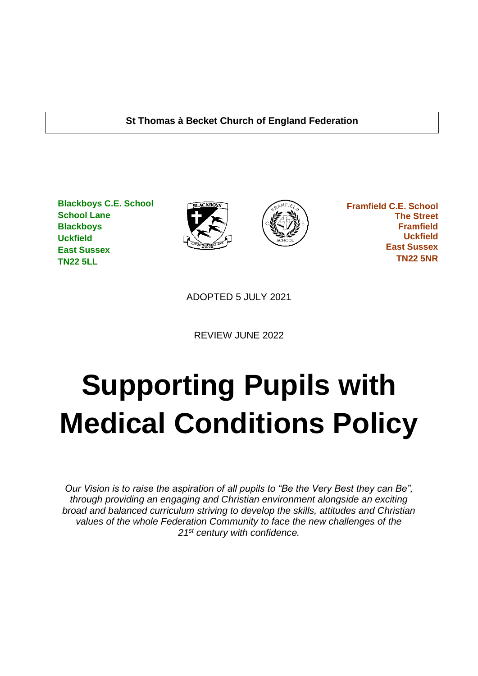#### **St Thomas à Becket Church of England Federation**

**Blackboys C.E. School School Lane Blackboys Uckfield East Sussex TN22 5LL**





 **Framfield C.E. School The Street Framfield Uckfield East Sussex TN22 5NR**

ADOPTED 5 JULY 2021

REVIEW JUNE 2022

# **Supporting Pupils with Medical Conditions Policy**

*Our Vision is to raise the aspiration of all pupils to "Be the Very Best they can Be", through providing an engaging and Christian environment alongside an exciting broad and balanced curriculum striving to develop the skills, attitudes and Christian values of the whole Federation Community to face the new challenges of the 21st century with confidence.*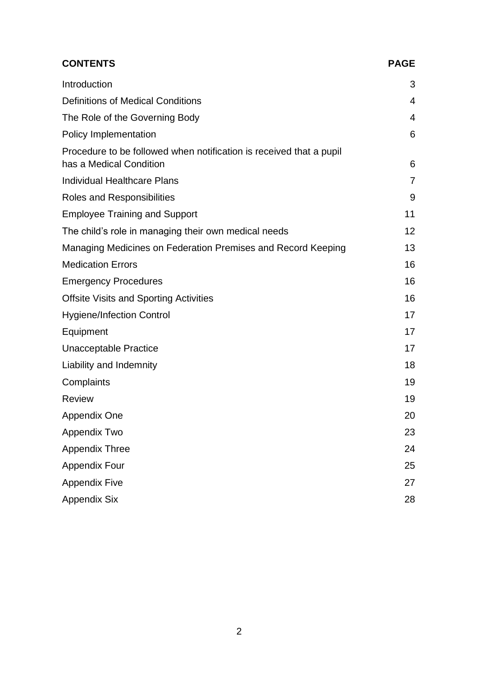| <b>CONTENTS</b>                                                                                | <b>PAGE</b>    |
|------------------------------------------------------------------------------------------------|----------------|
| Introduction                                                                                   | 3              |
| <b>Definitions of Medical Conditions</b>                                                       | 4              |
| The Role of the Governing Body                                                                 | 4              |
| Policy Implementation                                                                          | 6              |
| Procedure to be followed when notification is received that a pupil<br>has a Medical Condition | 6              |
| <b>Individual Healthcare Plans</b>                                                             | $\overline{7}$ |
| Roles and Responsibilities                                                                     | 9              |
| <b>Employee Training and Support</b>                                                           | 11             |
| The child's role in managing their own medical needs                                           | 12             |
| Managing Medicines on Federation Premises and Record Keeping                                   | 13             |
| <b>Medication Errors</b>                                                                       | 16             |
| <b>Emergency Procedures</b>                                                                    | 16             |
| <b>Offsite Visits and Sporting Activities</b>                                                  | 16             |
| <b>Hygiene/Infection Control</b>                                                               | 17             |
| Equipment                                                                                      | 17             |
| <b>Unacceptable Practice</b>                                                                   | 17             |
| Liability and Indemnity                                                                        | 18             |
| Complaints                                                                                     | 19             |
| <b>Review</b>                                                                                  | 19             |
| <b>Appendix One</b>                                                                            | 20             |
| Appendix Two                                                                                   | 23             |
| <b>Appendix Three</b>                                                                          | 24             |
| <b>Appendix Four</b>                                                                           | 25             |
| <b>Appendix Five</b>                                                                           | 27             |
| <b>Appendix Six</b>                                                                            | 28             |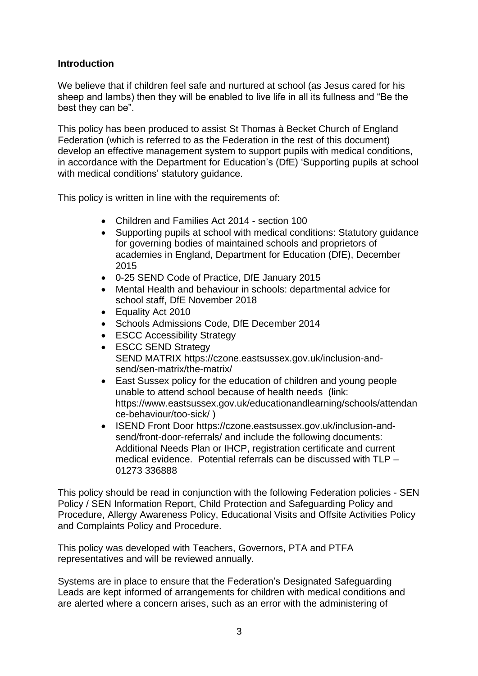#### **Introduction**

We believe that if children feel safe and nurtured at school (as Jesus cared for his sheep and lambs) then they will be enabled to live life in all its fullness and "Be the best they can be".

This policy has been produced to assist St Thomas à Becket Church of England Federation (which is referred to as the Federation in the rest of this document) develop an effective management system to support pupils with medical conditions, in accordance with the Department for Education's (DfE) 'Supporting pupils at school with medical conditions' statutory guidance.

This policy is written in line with the requirements of:

- Children and Families Act 2014 section 100
- Supporting pupils at school with medical conditions: Statutory guidance for governing bodies of maintained schools and proprietors of academies in England, Department for Education (DfE), December 2015
- 0-25 SEND Code of Practice, DfE January 2015
- Mental Health and behaviour in schools: departmental advice for school staff, DfE November 2018
- Equality Act 2010
- Schools Admissions Code, DfE December 2014
- ESCC Accessibility Strategy
- ESCC SEND Strategy SEND MATRIX [https://czone.eastsussex.gov.uk/inclusion-and](https://czone.eastsussex.gov.uk/inclusion-and-send/sen-)[send/sen-m](https://czone.eastsussex.gov.uk/inclusion-and-send/sen-)atrix/the-matrix/
- East Sussex policy for the education of children and young people unable to attend school because of health needs (link: [https://www.eastsussex.gov.uk/educationandlearning/schools/attendan](https://www.eastsussex.gov.uk/educationandlearning/schools/attendance-behaviour/too-sick/) [ce-behaviour/too-sick/](https://www.eastsussex.gov.uk/educationandlearning/schools/attendance-behaviour/too-sick/) )
- ISEND Front Door [https://czone.eastsussex.gov.uk/inclusion-and](https://czone.eastsussex.gov.uk/inclusion-and-send/front-door-referrals/)[send/front-door-referrals/](https://czone.eastsussex.gov.uk/inclusion-and-send/front-door-referrals/) and include the following documents: Additional Needs Plan or IHCP, registration certificate and current medical evidence. Potential referrals can be discussed with TLP – 01273 336888

This policy should be read in conjunction with the following Federation policies - SEN Policy / SEN Information Report, Child Protection and Safeguarding Policy and Procedure, Allergy Awareness Policy, Educational Visits and Offsite Activities Policy and Complaints Policy and Procedure.

This policy was developed with Teachers, Governors, PTA and PTFA representatives and will be reviewed annually.

Systems are in place to ensure that the Federation's Designated Safeguarding Leads are kept informed of arrangements for children with medical conditions and are alerted where a concern arises, such as an error with the administering of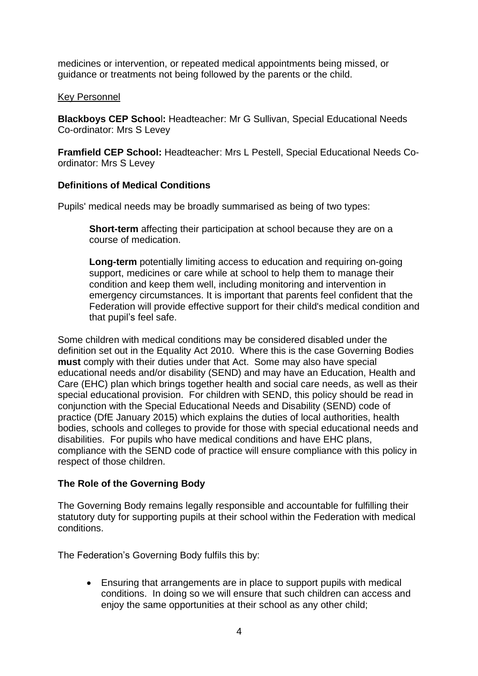medicines or intervention, or repeated medical appointments being missed, or guidance or treatments not being followed by the parents or the child.

#### Key Personnel

**Blackboys CEP Schoo**l**:** Headteacher: Mr G Sullivan, Special Educational Needs Co-ordinator: Mrs S Levey

**Framfield CEP School:** Headteacher: Mrs L Pestell, Special Educational Needs Coordinator: Mrs S Levey

#### **Definitions of Medical Conditions**

Pupils' medical needs may be broadly summarised as being of two types:

**Short-term** affecting their participation at school because they are on a course of medication.

**Long-term** potentially limiting access to education and requiring on-going support, medicines or care while at school to help them to manage their condition and keep them well, including monitoring and intervention in emergency circumstances. It is important that parents feel confident that the Federation will provide effective support for their child's medical condition and that pupil's feel safe.

Some children with medical conditions may be considered disabled under the definition set out in the Equality Act 2010. Where this is the case Governing Bodies **must** comply with their duties under that Act. Some may also have special educational needs and/or disability (SEND) and may have an Education, Health and Care (EHC) plan which brings together health and social care needs, as well as their special educational provision. For children with SEND, this policy should be read in conjunction with the Special Educational Needs and Disability (SEND) code of practice (DfE January 2015) which explains the duties of local authorities, health bodies, schools and colleges to provide for those with special educational needs and disabilities. For pupils who have medical conditions and have EHC plans, compliance with the SEND code of practice will ensure compliance with this policy in respect of those children.

#### **The Role of the Governing Body**

The Governing Body remains legally responsible and accountable for fulfilling their statutory duty for supporting pupils at their school within the Federation with medical conditions.

The Federation's Governing Body fulfils this by:

• Ensuring that arrangements are in place to support pupils with medical conditions. In doing so we will ensure that such children can access and enjoy the same opportunities at their school as any other child;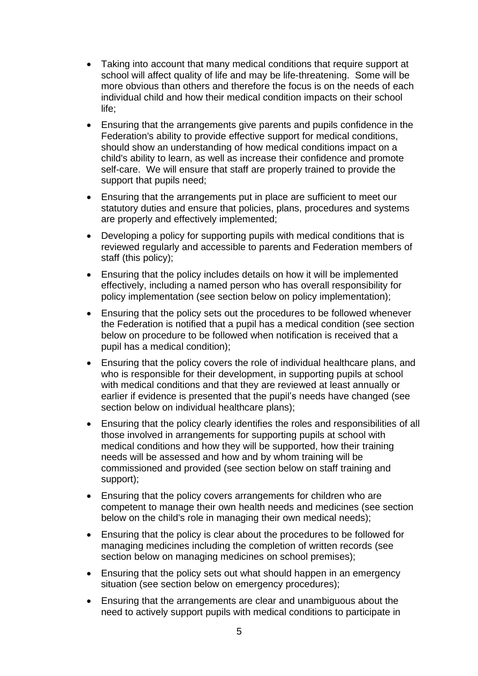- Taking into account that many medical conditions that require support at school will affect quality of life and may be life-threatening. Some will be more obvious than others and therefore the focus is on the needs of each individual child and how their medical condition impacts on their school life;
- Ensuring that the arrangements give parents and pupils confidence in the Federation's ability to provide effective support for medical conditions, should show an understanding of how medical conditions impact on a child's ability to learn, as well as increase their confidence and promote self-care. We will ensure that staff are properly trained to provide the support that pupils need;
- Ensuring that the arrangements put in place are sufficient to meet our statutory duties and ensure that policies, plans, procedures and systems are properly and effectively implemented;
- Developing a policy for supporting pupils with medical conditions that is reviewed regularly and accessible to parents and Federation members of staff (this policy);
- Ensuring that the policy includes details on how it will be implemented effectively, including a named person who has overall responsibility for policy implementation (see section below on policy implementation);
- Ensuring that the policy sets out the procedures to be followed whenever the Federation is notified that a pupil has a medical condition (see section below on procedure to be followed when notification is received that a pupil has a medical condition);
- Ensuring that the policy covers the role of individual healthcare plans, and who is responsible for their development, in supporting pupils at school with medical conditions and that they are reviewed at least annually or earlier if evidence is presented that the pupil's needs have changed (see section below on individual healthcare plans);
- Ensuring that the policy clearly identifies the roles and responsibilities of all those involved in arrangements for supporting pupils at school with medical conditions and how they will be supported, how their training needs will be assessed and how and by whom training will be commissioned and provided (see section below on staff training and support);
- Ensuring that the policy covers arrangements for children who are competent to manage their own health needs and medicines (see section below on the child's role in managing their own medical needs);
- Ensuring that the policy is clear about the procedures to be followed for managing medicines including the completion of written records (see section below on managing medicines on school premises);
- Ensuring that the policy sets out what should happen in an emergency situation (see section below on emergency procedures);
- Ensuring that the arrangements are clear and unambiguous about the need to actively support pupils with medical conditions to participate in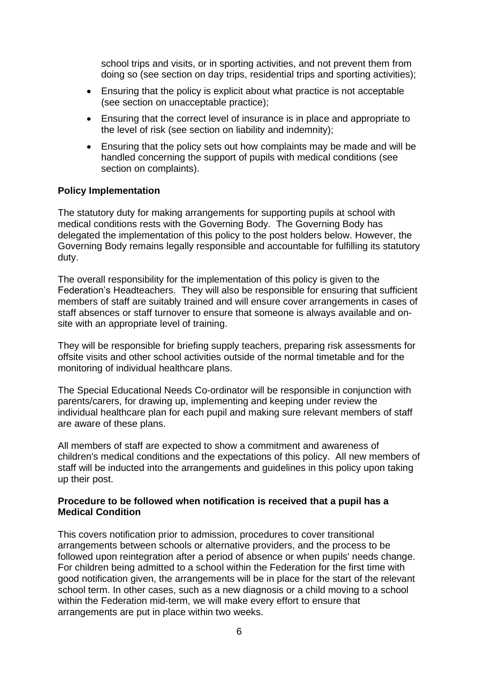school trips and visits, or in sporting activities, and not prevent them from doing so (see section on day trips, residential trips and sporting activities);

- Ensuring that the policy is explicit about what practice is not acceptable (see section on unacceptable practice);
- Ensuring that the correct level of insurance is in place and appropriate to the level of risk (see section on liability and indemnity);
- Ensuring that the policy sets out how complaints may be made and will be handled concerning the support of pupils with medical conditions (see section on complaints).

#### **Policy Implementation**

The statutory duty for making arrangements for supporting pupils at school with medical conditions rests with the Governing Body. The Governing Body has delegated the implementation of this policy to the post holders below. However, the Governing Body remains legally responsible and accountable for fulfilling its statutory duty.

The overall responsibility for the implementation of this policy is given to the Federation's Headteachers. They will also be responsible for ensuring that sufficient members of staff are suitably trained and will ensure cover arrangements in cases of staff absences or staff turnover to ensure that someone is always available and onsite with an appropriate level of training.

They will be responsible for briefing supply teachers, preparing risk assessments for offsite visits and other school activities outside of the normal timetable and for the monitoring of individual healthcare plans.

The Special Educational Needs Co-ordinator will be responsible in conjunction with parents/carers, for drawing up, implementing and keeping under review the individual healthcare plan for each pupil and making sure relevant members of staff are aware of these plans.

All members of staff are expected to show a commitment and awareness of children's medical conditions and the expectations of this policy. All new members of staff will be inducted into the arrangements and guidelines in this policy upon taking up their post.

#### **Procedure to be followed when notification is received that a pupil has a Medical Condition**

This covers notification prior to admission, procedures to cover transitional arrangements between schools or alternative providers, and the process to be followed upon reintegration after a period of absence or when pupils' needs change. For children being admitted to a school within the Federation for the first time with good notification given, the arrangements will be in place for the start of the relevant school term. In other cases, such as a new diagnosis or a child moving to a school within the Federation mid-term, we will make every effort to ensure that arrangements are put in place within two weeks.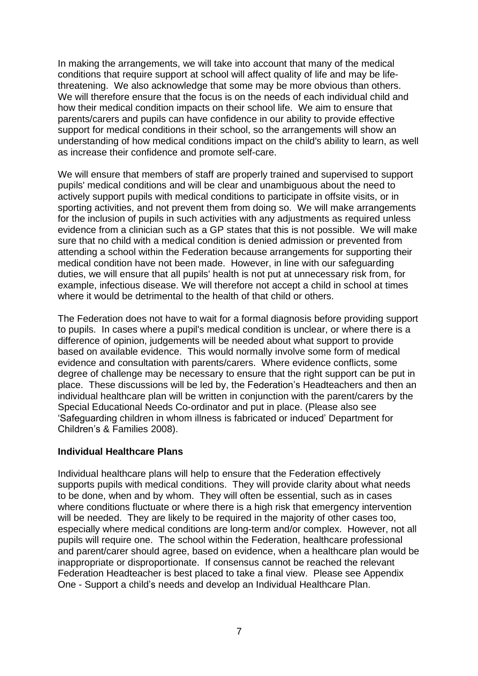In making the arrangements, we will take into account that many of the medical conditions that require support at school will affect quality of life and may be lifethreatening. We also acknowledge that some may be more obvious than others. We will therefore ensure that the focus is on the needs of each individual child and how their medical condition impacts on their school life. We aim to ensure that parents/carers and pupils can have confidence in our ability to provide effective support for medical conditions in their school, so the arrangements will show an understanding of how medical conditions impact on the child's ability to learn, as well as increase their confidence and promote self-care.

We will ensure that members of staff are properly trained and supervised to support pupils' medical conditions and will be clear and unambiguous about the need to actively support pupils with medical conditions to participate in offsite visits, or in sporting activities, and not prevent them from doing so. We will make arrangements for the inclusion of pupils in such activities with any adjustments as required unless evidence from a clinician such as a GP states that this is not possible. We will make sure that no child with a medical condition is denied admission or prevented from attending a school within the Federation because arrangements for supporting their medical condition have not been made. However, in line with our safeguarding duties, we will ensure that all pupils' health is not put at unnecessary risk from, for example, infectious disease. We will therefore not accept a child in school at times where it would be detrimental to the health of that child or others.

The Federation does not have to wait for a formal diagnosis before providing support to pupils. In cases where a pupil's medical condition is unclear, or where there is a difference of opinion, judgements will be needed about what support to provide based on available evidence. This would normally involve some form of medical evidence and consultation with parents/carers. Where evidence conflicts, some degree of challenge may be necessary to ensure that the right support can be put in place. These discussions will be led by, the Federation's Headteachers and then an individual healthcare plan will be written in conjunction with the parent/carers by the Special Educational Needs Co-ordinator and put in place. (Please also see 'Safeguarding children in whom illness is fabricated or induced' Department for Children's & Families 2008).

#### **Individual Healthcare Plans**

Individual healthcare plans will help to ensure that the Federation effectively supports pupils with medical conditions. They will provide clarity about what needs to be done, when and by whom. They will often be essential, such as in cases where conditions fluctuate or where there is a high risk that emergency intervention will be needed. They are likely to be required in the majority of other cases too, especially where medical conditions are long-term and/or complex. However, not all pupils will require one. The school within the Federation, healthcare professional and parent/carer should agree, based on evidence, when a healthcare plan would be inappropriate or disproportionate. If consensus cannot be reached the relevant Federation Headteacher is best placed to take a final view. Please see Appendix One - Support a child's needs and develop an Individual Healthcare Plan.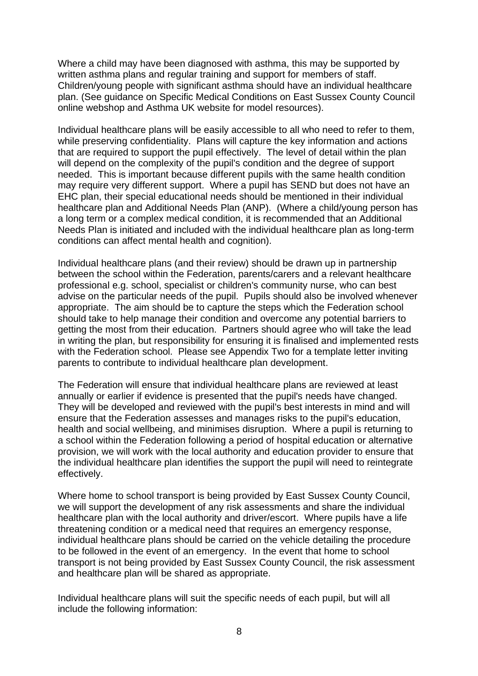Where a child may have been diagnosed with asthma, this may be supported by written asthma plans and regular training and support for members of staff. Children/young people with significant asthma should have an individual healthcare plan. (See guidance on Specific Medical Conditions on East Sussex County Council online webshop and Asthma UK website for model resources).

Individual healthcare plans will be easily accessible to all who need to refer to them, while preserving confidentiality. Plans will capture the key information and actions that are required to support the pupil effectively. The level of detail within the plan will depend on the complexity of the pupil's condition and the degree of support needed. This is important because different pupils with the same health condition may require very different support. Where a pupil has SEND but does not have an EHC plan, their special educational needs should be mentioned in their individual healthcare plan and Additional Needs Plan (ANP). (Where a child/young person has a long term or a complex medical condition, it is recommended that an Additional Needs Plan is initiated and included with the individual healthcare plan as long-term conditions can affect mental health and cognition).

Individual healthcare plans (and their review) should be drawn up in partnership between the school within the Federation, parents/carers and a relevant healthcare professional e.g. school, specialist or children's community nurse, who can best advise on the particular needs of the pupil. Pupils should also be involved whenever appropriate. The aim should be to capture the steps which the Federation school should take to help manage their condition and overcome any potential barriers to getting the most from their education. Partners should agree who will take the lead in writing the plan, but responsibility for ensuring it is finalised and implemented rests with the Federation school. Please see Appendix Two for a template letter inviting parents to contribute to individual healthcare plan development.

The Federation will ensure that individual healthcare plans are reviewed at least annually or earlier if evidence is presented that the pupil's needs have changed. They will be developed and reviewed with the pupil's best interests in mind and will ensure that the Federation assesses and manages risks to the pupil's education, health and social wellbeing, and minimises disruption. Where a pupil is returning to a school within the Federation following a period of hospital education or alternative provision, we will work with the local authority and education provider to ensure that the individual healthcare plan identifies the support the pupil will need to reintegrate effectively.

Where home to school transport is being provided by East Sussex County Council, we will support the development of any risk assessments and share the individual healthcare plan with the local authority and driver/escort. Where pupils have a life threatening condition or a medical need that requires an emergency response, individual healthcare plans should be carried on the vehicle detailing the procedure to be followed in the event of an emergency. In the event that home to school transport is not being provided by East Sussex County Council, the risk assessment and healthcare plan will be shared as appropriate.

Individual healthcare plans will suit the specific needs of each pupil, but will all include the following information: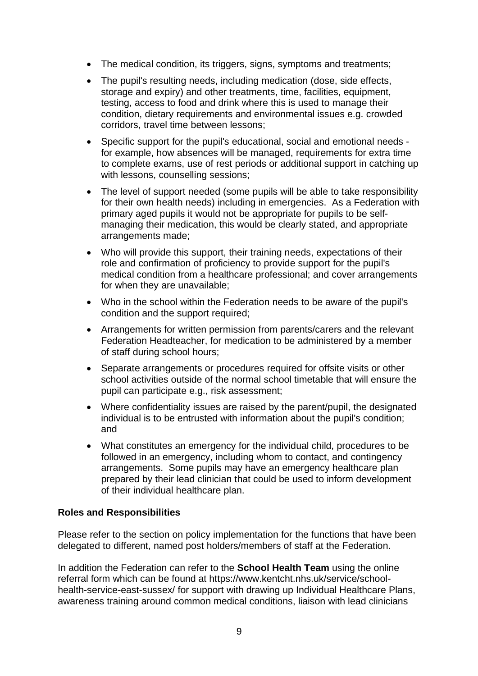- The medical condition, its triggers, signs, symptoms and treatments;
- The pupil's resulting needs, including medication (dose, side effects, storage and expiry) and other treatments, time, facilities, equipment, testing, access to food and drink where this is used to manage their condition, dietary requirements and environmental issues e.g. crowded corridors, travel time between lessons;
- Specific support for the pupil's educational, social and emotional needs for example, how absences will be managed, requirements for extra time to complete exams, use of rest periods or additional support in catching up with lessons, counselling sessions;
- The level of support needed (some pupils will be able to take responsibility for their own health needs) including in emergencies. As a Federation with primary aged pupils it would not be appropriate for pupils to be selfmanaging their medication, this would be clearly stated, and appropriate arrangements made;
- Who will provide this support, their training needs, expectations of their role and confirmation of proficiency to provide support for the pupil's medical condition from a healthcare professional; and cover arrangements for when they are unavailable;
- Who in the school within the Federation needs to be aware of the pupil's condition and the support required;
- Arrangements for written permission from parents/carers and the relevant Federation Headteacher, for medication to be administered by a member of staff during school hours;
- Separate arrangements or procedures required for offsite visits or other school activities outside of the normal school timetable that will ensure the pupil can participate e.g., risk assessment;
- Where confidentiality issues are raised by the parent/pupil, the designated individual is to be entrusted with information about the pupil's condition; and
- What constitutes an emergency for the individual child, procedures to be followed in an emergency, including whom to contact, and contingency arrangements. Some pupils may have an emergency healthcare plan prepared by their lead clinician that could be used to inform development of their individual healthcare plan.

#### **Roles and Responsibilities**

Please refer to the section on policy implementation for the functions that have been delegated to different, named post holders/members of staff at the Federation.

In addition the Federation can refer to the **School Health Team** using the online referral form which can be found at [https://www.kentcht.nhs.uk/service/school](https://www.kentcht.nhs.uk/service/school-health-service-east-sussex/)[health-service-east-sussex/](https://www.kentcht.nhs.uk/service/school-health-service-east-sussex/) for support with drawing up Individual Healthcare Plans, awareness training around common medical conditions, liaison with lead clinicians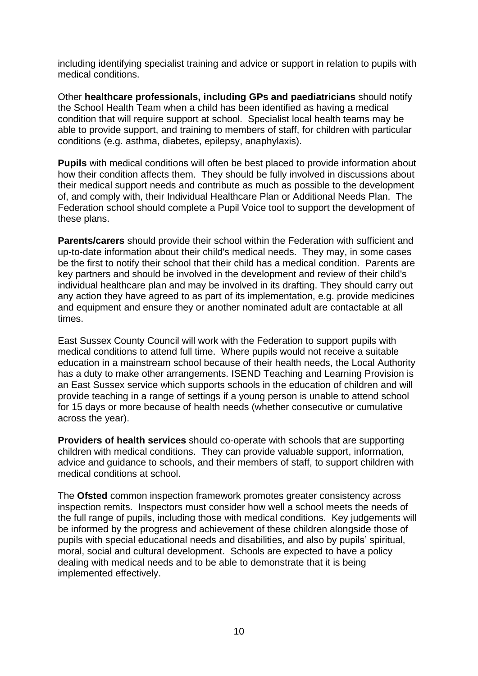including identifying specialist training and advice or support in relation to pupils with medical conditions.

Other **healthcare professionals, including GPs and paediatricians** should notify the School Health Team when a child has been identified as having a medical condition that will require support at school. Specialist local health teams may be able to provide support, and training to members of staff, for children with particular conditions (e.g. asthma, diabetes, epilepsy, anaphylaxis).

**Pupils** with medical conditions will often be best placed to provide information about how their condition affects them. They should be fully involved in discussions about their medical support needs and contribute as much as possible to the development of, and comply with, their Individual Healthcare Plan or Additional Needs Plan. The Federation school should complete a Pupil Voice tool to support the development of these plans.

**Parents/carers** should provide their school within the Federation with sufficient and up-to-date information about their child's medical needs. They may, in some cases be the first to notify their school that their child has a medical condition. Parents are key partners and should be involved in the development and review of their child's individual healthcare plan and may be involved in its drafting. They should carry out any action they have agreed to as part of its implementation, e.g. provide medicines and equipment and ensure they or another nominated adult are contactable at all times.

East Sussex County Council will work with the Federation to support pupils with medical conditions to attend full time. Where pupils would not receive a suitable education in a mainstream school because of their health needs, the Local Authority has a duty to make other arrangements. ISEND Teaching and Learning Provision is an East Sussex service which supports schools in the education of children and will provide teaching in a range of settings if a young person is unable to attend school for 15 days or more because of health needs (whether consecutive or cumulative across the year).

**Providers of health services** should co-operate with schools that are supporting children with medical conditions. They can provide valuable support, information, advice and guidance to schools, and their members of staff, to support children with medical conditions at school.

The **Ofsted** common inspection framework promotes greater consistency across inspection remits. Inspectors must consider how well a school meets the needs of the full range of pupils, including those with medical conditions. Key judgements will be informed by the progress and achievement of these children alongside those of pupils with special educational needs and disabilities, and also by pupils' spiritual, moral, social and cultural development. Schools are expected to have a policy dealing with medical needs and to be able to demonstrate that it is being implemented effectively.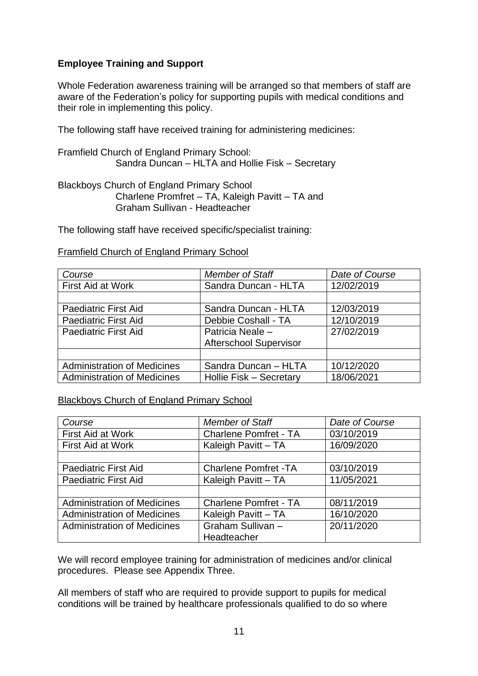## **Employee Training and Support**

Whole Federation awareness training will be arranged so that members of staff are aware of the Federation's policy for supporting pupils with medical conditions and their role in implementing this policy.

The following staff have received training for administering medicines:

Framfield Church of England Primary School: Sandra Duncan – HLTA and Hollie Fisk – Secretary

Blackboys Church of England Primary School Charlene Promfret – TA, Kaleigh Pavitt – TA and Graham Sullivan - Headteacher

The following staff have received specific/specialist training:

| Framfield Church of England Primary School |
|--------------------------------------------|
|--------------------------------------------|

| Course                             | <b>Member of Staff</b>        | Date of Course |
|------------------------------------|-------------------------------|----------------|
| First Aid at Work                  | Sandra Duncan - HLTA          | 12/02/2019     |
|                                    |                               |                |
| <b>Paediatric First Aid</b>        | Sandra Duncan - HLTA          | 12/03/2019     |
| <b>Paediatric First Aid</b>        | Debbie Coshall - TA           | 12/10/2019     |
| <b>Paediatric First Aid</b>        | Patricia Neale -              | 27/02/2019     |
|                                    | <b>Afterschool Supervisor</b> |                |
|                                    |                               |                |
| <b>Administration of Medicines</b> | Sandra Duncan - HLTA          | 10/12/2020     |
| <b>Administration of Medicines</b> | Hollie Fisk - Secretary       | 18/06/2021     |

## Blackboys Church of England Primary School

| Course                             | <b>Member of Staff</b>       | Date of Course |
|------------------------------------|------------------------------|----------------|
| First Aid at Work                  | <b>Charlene Pomfret - TA</b> | 03/10/2019     |
| <b>First Aid at Work</b>           | Kaleigh Pavitt - TA          | 16/09/2020     |
|                                    |                              |                |
| <b>Paediatric First Aid</b>        | <b>Charlene Pomfret -TA</b>  | 03/10/2019     |
| <b>Paediatric First Aid</b>        | Kaleigh Pavitt - TA          | 11/05/2021     |
|                                    |                              |                |
| <b>Administration of Medicines</b> | <b>Charlene Pomfret - TA</b> | 08/11/2019     |
| <b>Administration of Medicines</b> | Kaleigh Pavitt - TA          | 16/10/2020     |
| <b>Administration of Medicines</b> | Graham Sullivan-             | 20/11/2020     |
|                                    | Headteacher                  |                |

We will record employee training for administration of medicines and/or clinical procedures. Please see Appendix Three.

All members of staff who are required to provide support to pupils for medical conditions will be trained by healthcare professionals qualified to do so where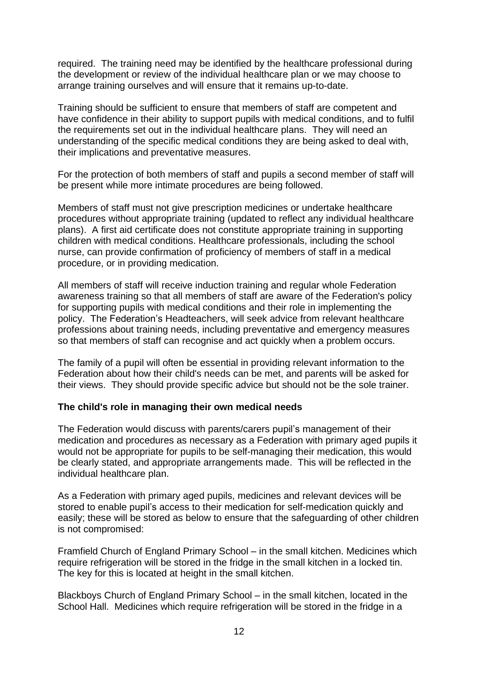required. The training need may be identified by the healthcare professional during the development or review of the individual healthcare plan or we may choose to arrange training ourselves and will ensure that it remains up-to-date.

Training should be sufficient to ensure that members of staff are competent and have confidence in their ability to support pupils with medical conditions, and to fulfil the requirements set out in the individual healthcare plans. They will need an understanding of the specific medical conditions they are being asked to deal with, their implications and preventative measures.

For the protection of both members of staff and pupils a second member of staff will be present while more intimate procedures are being followed.

Members of staff must not give prescription medicines or undertake healthcare procedures without appropriate training (updated to reflect any individual healthcare plans). A first aid certificate does not constitute appropriate training in supporting children with medical conditions. Healthcare professionals, including the school nurse, can provide confirmation of proficiency of members of staff in a medical procedure, or in providing medication.

All members of staff will receive induction training and regular whole Federation awareness training so that all members of staff are aware of the Federation's policy for supporting pupils with medical conditions and their role in implementing the policy. The Federation's Headteachers, will seek advice from relevant healthcare professions about training needs, including preventative and emergency measures so that members of staff can recognise and act quickly when a problem occurs.

The family of a pupil will often be essential in providing relevant information to the Federation about how their child's needs can be met, and parents will be asked for their views. They should provide specific advice but should not be the sole trainer.

#### **The child's role in managing their own medical needs**

The Federation would discuss with parents/carers pupil's management of their medication and procedures as necessary as a Federation with primary aged pupils it would not be appropriate for pupils to be self-managing their medication, this would be clearly stated, and appropriate arrangements made. This will be reflected in the individual healthcare plan.

As a Federation with primary aged pupils, medicines and relevant devices will be stored to enable pupil's access to their medication for self-medication quickly and easily; these will be stored as below to ensure that the safeguarding of other children is not compromised:

Framfield Church of England Primary School – in the small kitchen. Medicines which require refrigeration will be stored in the fridge in the small kitchen in a locked tin. The key for this is located at height in the small kitchen.

Blackboys Church of England Primary School – in the small kitchen, located in the School Hall. Medicines which require refrigeration will be stored in the fridge in a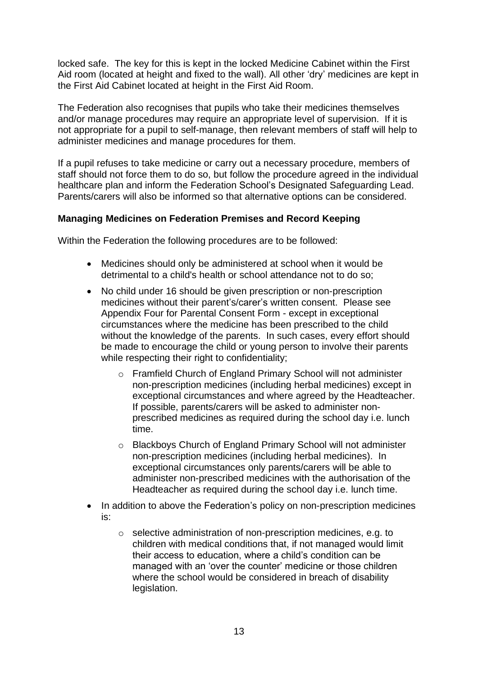locked safe. The key for this is kept in the locked Medicine Cabinet within the First Aid room (located at height and fixed to the wall). All other 'dry' medicines are kept in the First Aid Cabinet located at height in the First Aid Room.

The Federation also recognises that pupils who take their medicines themselves and/or manage procedures may require an appropriate level of supervision. If it is not appropriate for a pupil to self-manage, then relevant members of staff will help to administer medicines and manage procedures for them.

If a pupil refuses to take medicine or carry out a necessary procedure, members of staff should not force them to do so, but follow the procedure agreed in the individual healthcare plan and inform the Federation School's Designated Safeguarding Lead. Parents/carers will also be informed so that alternative options can be considered.

#### **Managing Medicines on Federation Premises and Record Keeping**

Within the Federation the following procedures are to be followed:

- Medicines should only be administered at school when it would be detrimental to a child's health or school attendance not to do so;
- No child under 16 should be given prescription or non-prescription medicines without their parent's/carer's written consent. Please see Appendix Four for Parental Consent Form - except in exceptional circumstances where the medicine has been prescribed to the child without the knowledge of the parents. In such cases, every effort should be made to encourage the child or young person to involve their parents while respecting their right to confidentiality;
	- o Framfield Church of England Primary School will not administer non-prescription medicines (including herbal medicines) except in exceptional circumstances and where agreed by the Headteacher. If possible, parents/carers will be asked to administer nonprescribed medicines as required during the school day i.e. lunch time.
	- o Blackboys Church of England Primary School will not administer non-prescription medicines (including herbal medicines). In exceptional circumstances only parents/carers will be able to administer non-prescribed medicines with the authorisation of the Headteacher as required during the school day i.e. lunch time.
- In addition to above the Federation's policy on non-prescription medicines is:
	- o selective administration of non-prescription medicines, e.g. to children with medical conditions that, if not managed would limit their access to education, where a child's condition can be managed with an 'over the counter' medicine or those children where the school would be considered in breach of disability legislation.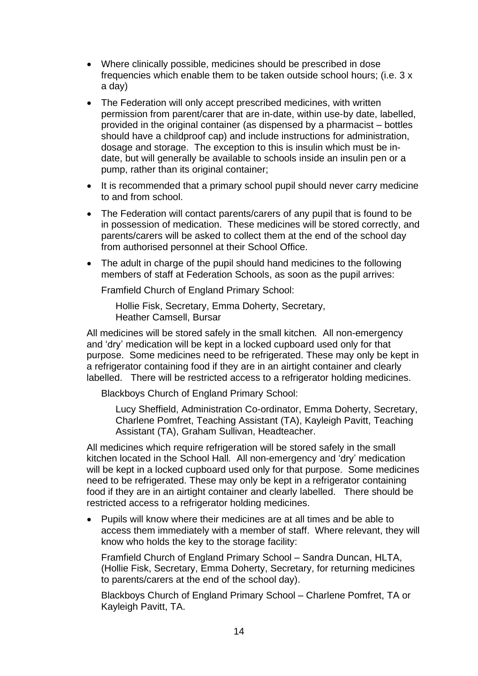- Where clinically possible, medicines should be prescribed in dose frequencies which enable them to be taken outside school hours; (i.e. 3 x a day)
- The Federation will only accept prescribed medicines, with written permission from parent/carer that are in-date, within use-by date, labelled, provided in the original container (as dispensed by a pharmacist – bottles should have a childproof cap) and include instructions for administration, dosage and storage. The exception to this is insulin which must be indate, but will generally be available to schools inside an insulin pen or a pump, rather than its original container;
- It is recommended that a primary school pupil should never carry medicine to and from school.
- The Federation will contact parents/carers of any pupil that is found to be in possession of medication. These medicines will be stored correctly, and parents/carers will be asked to collect them at the end of the school day from authorised personnel at their School Office.
- The adult in charge of the pupil should hand medicines to the following members of staff at Federation Schools, as soon as the pupil arrives:

Framfield Church of England Primary School:

Hollie Fisk, Secretary, Emma Doherty, Secretary, Heather Camsell, Bursar

All medicines will be stored safely in the small kitchen*.* All non-emergency and 'dry' medication will be kept in a locked cupboard used only for that purpose. Some medicines need to be refrigerated. These may only be kept in a refrigerator containing food if they are in an airtight container and clearly labelled. There will be restricted access to a refrigerator holding medicines.

Blackboys Church of England Primary School:

Lucy Sheffield, Administration Co-ordinator, Emma Doherty, Secretary, Charlene Pomfret, Teaching Assistant (TA), Kayleigh Pavitt, Teaching Assistant (TA), Graham Sullivan, Headteacher.

All medicines which require refrigeration will be stored safely in the small kitchen located in the School Hall*.* All non-emergency and 'dry' medication will be kept in a locked cupboard used only for that purpose. Some medicines need to be refrigerated. These may only be kept in a refrigerator containing food if they are in an airtight container and clearly labelled. There should be restricted access to a refrigerator holding medicines.

• Pupils will know where their medicines are at all times and be able to access them immediately with a member of staff. Where relevant, they will know who holds the key to the storage facility:

Framfield Church of England Primary School – Sandra Duncan, HLTA, (Hollie Fisk, Secretary, Emma Doherty, Secretary, for returning medicines to parents/carers at the end of the school day).

Blackboys Church of England Primary School – Charlene Pomfret, TA or Kayleigh Pavitt, TA.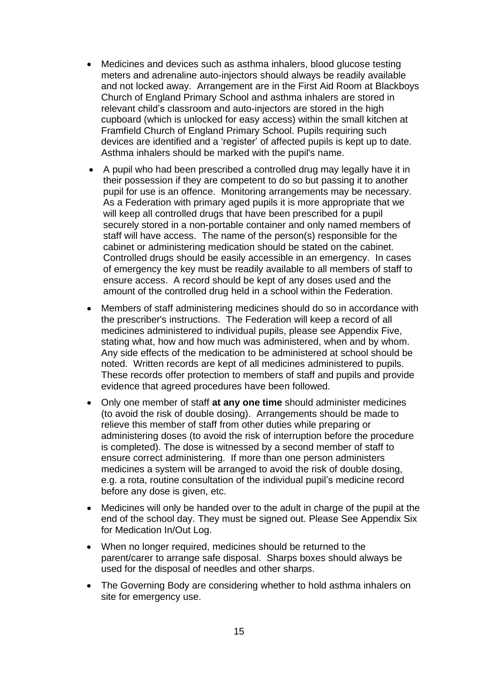- Medicines and devices such as asthma inhalers, blood glucose testing meters and adrenaline auto-injectors should always be readily available and not locked away. Arrangement are in the First Aid Room at Blackboys Church of England Primary School and asthma inhalers are stored in relevant child's classroom and auto-injectors are stored in the high cupboard (which is unlocked for easy access) within the small kitchen at Framfield Church of England Primary School. Pupils requiring such devices are identified and a 'register' of affected pupils is kept up to date. Asthma inhalers should be marked with the pupil's name.
- A pupil who had been prescribed a controlled drug may legally have it in their possession if they are competent to do so but passing it to another pupil for use is an offence. Monitoring arrangements may be necessary. As a Federation with primary aged pupils it is more appropriate that we will keep all controlled drugs that have been prescribed for a pupil securely stored in a non-portable container and only named members of staff will have access. The name of the person(s) responsible for the cabinet or administering medication should be stated on the cabinet. Controlled drugs should be easily accessible in an emergency. In cases of emergency the key must be readily available to all members of staff to ensure access. A record should be kept of any doses used and the amount of the controlled drug held in a school within the Federation.
- Members of staff administering medicines should do so in accordance with the prescriber's instructions. The Federation will keep a record of all medicines administered to individual pupils, please see Appendix Five, stating what, how and how much was administered, when and by whom. Any side effects of the medication to be administered at school should be noted. Written records are kept of all medicines administered to pupils. These records offer protection to members of staff and pupils and provide evidence that agreed procedures have been followed.
- Only one member of staff **at any one time** should administer medicines (to avoid the risk of double dosing). Arrangements should be made to relieve this member of staff from other duties while preparing or administering doses (to avoid the risk of interruption before the procedure is completed). The dose is witnessed by a second member of staff to ensure correct administering. If more than one person administers medicines a system will be arranged to avoid the risk of double dosing, e.g. a rota, routine consultation of the individual pupil's medicine record before any dose is given, etc.
- Medicines will only be handed over to the adult in charge of the pupil at the end of the school day. They must be signed out. Please See Appendix Six for Medication In/Out Log.
- When no longer required, medicines should be returned to the parent/carer to arrange safe disposal. Sharps boxes should always be used for the disposal of needles and other sharps.
- The Governing Body are considering whether to hold asthma inhalers on site for emergency use.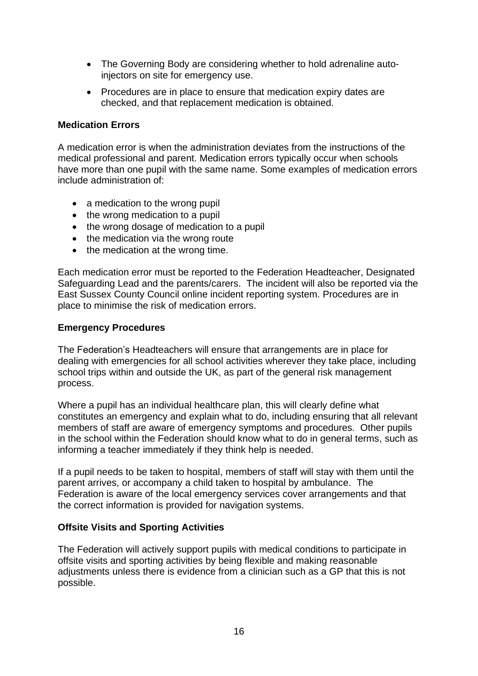- The Governing Body are considering whether to hold adrenaline autoinjectors on site for emergency use.
- Procedures are in place to ensure that medication expiry dates are checked, and that replacement medication is obtained.

#### **Medication Errors**

A medication error is when the administration deviates from the instructions of the medical professional and parent. Medication errors typically occur when schools have more than one pupil with the same name. Some examples of medication errors include administration of:

- a medication to the wrong pupil
- the wrong medication to a pupil
- the wrong dosage of medication to a pupil
- the medication via the wrong route
- the medication at the wrong time.

Each medication error must be reported to the Federation Headteacher, Designated Safeguarding Lead and the parents/carers. The incident will also be reported via the East Sussex County Council online incident reporting system. Procedures are in place to minimise the risk of medication errors.

#### **Emergency Procedures**

The Federation's Headteachers will ensure that arrangements are in place for dealing with emergencies for all school activities wherever they take place, including school trips within and outside the UK, as part of the general risk management process.

Where a pupil has an individual healthcare plan, this will clearly define what constitutes an emergency and explain what to do, including ensuring that all relevant members of staff are aware of emergency symptoms and procedures. Other pupils in the school within the Federation should know what to do in general terms, such as informing a teacher immediately if they think help is needed.

If a pupil needs to be taken to hospital, members of staff will stay with them until the parent arrives, or accompany a child taken to hospital by ambulance. The Federation is aware of the local emergency services cover arrangements and that the correct information is provided for navigation systems.

## **Offsite Visits and Sporting Activities**

The Federation will actively support pupils with medical conditions to participate in offsite visits and sporting activities by being flexible and making reasonable adjustments unless there is evidence from a clinician such as a GP that this is not possible.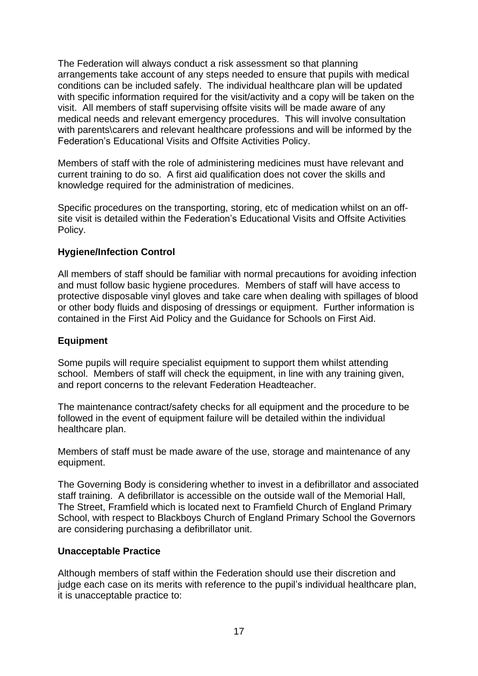The Federation will always conduct a risk assessment so that planning arrangements take account of any steps needed to ensure that pupils with medical conditions can be included safely. The individual healthcare plan will be updated with specific information required for the visit/activity and a copy will be taken on the visit. All members of staff supervising offsite visits will be made aware of any medical needs and relevant emergency procedures. This will involve consultation with parents\carers and relevant healthcare professions and will be informed by the Federation's Educational Visits and Offsite Activities Policy.

Members of staff with the role of administering medicines must have relevant and current training to do so. A first aid qualification does not cover the skills and knowledge required for the administration of medicines.

Specific procedures on the transporting, storing, etc of medication whilst on an offsite visit is detailed within the Federation's Educational Visits and Offsite Activities Policy.

#### **Hygiene/Infection Control**

All members of staff should be familiar with normal precautions for avoiding infection and must follow basic hygiene procedures. Members of staff will have access to protective disposable vinyl gloves and take care when dealing with spillages of blood or other body fluids and disposing of dressings or equipment. Further information is contained in the First Aid Policy and the Guidance for Schools on First Aid.

#### **Equipment**

Some pupils will require specialist equipment to support them whilst attending school. Members of staff will check the equipment, in line with any training given, and report concerns to the relevant Federation Headteacher.

The maintenance contract/safety checks for all equipment and the procedure to be followed in the event of equipment failure will be detailed within the individual healthcare plan.

Members of staff must be made aware of the use, storage and maintenance of any equipment.

The Governing Body is considering whether to invest in a defibrillator and associated staff training. A defibrillator is accessible on the outside wall of the Memorial Hall, The Street, Framfield which is located next to Framfield Church of England Primary School, with respect to Blackboys Church of England Primary School the Governors are considering purchasing a defibrillator unit.

#### **Unacceptable Practice**

Although members of staff within the Federation should use their discretion and judge each case on its merits with reference to the pupil's individual healthcare plan, it is unacceptable practice to: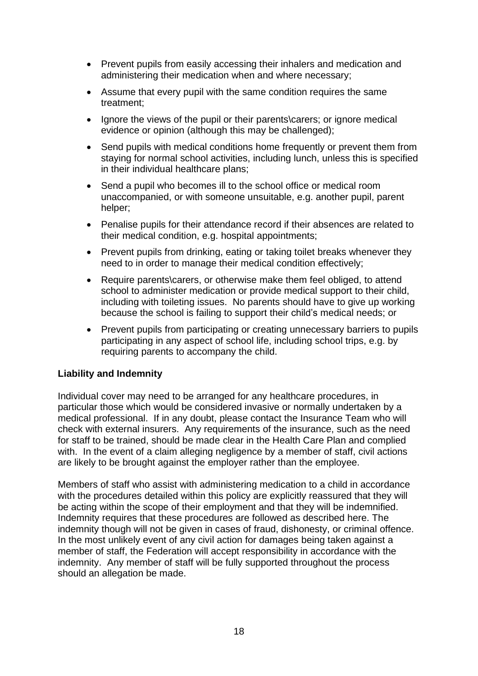- Prevent pupils from easily accessing their inhalers and medication and administering their medication when and where necessary;
- Assume that every pupil with the same condition requires the same treatment;
- Ignore the views of the pupil or their parents\carers; or ignore medical evidence or opinion (although this may be challenged);
- Send pupils with medical conditions home frequently or prevent them from staying for normal school activities, including lunch, unless this is specified in their individual healthcare plans;
- Send a pupil who becomes ill to the school office or medical room unaccompanied, or with someone unsuitable, e.g. another pupil, parent helper;
- Penalise pupils for their attendance record if their absences are related to their medical condition, e.g. hospital appointments;
- Prevent pupils from drinking, eating or taking toilet breaks whenever they need to in order to manage their medical condition effectively;
- Require parents\carers, or otherwise make them feel obliged, to attend school to administer medication or provide medical support to their child, including with toileting issues. No parents should have to give up working because the school is failing to support their child's medical needs; or
- Prevent pupils from participating or creating unnecessary barriers to pupils participating in any aspect of school life, including school trips, e.g. by requiring parents to accompany the child.

## **Liability and Indemnity**

Individual cover may need to be arranged for any healthcare procedures, in particular those which would be considered invasive or normally undertaken by a medical professional. If in any doubt, please contact the Insurance Team who will check with external insurers. Any requirements of the insurance, such as the need for staff to be trained, should be made clear in the Health Care Plan and complied with. In the event of a claim alleging negligence by a member of staff, civil actions are likely to be brought against the employer rather than the employee.

Members of staff who assist with administering medication to a child in accordance with the procedures detailed within this policy are explicitly reassured that they will be acting within the scope of their employment and that they will be indemnified. Indemnity requires that these procedures are followed as described here. The indemnity though will not be given in cases of fraud, dishonesty, or criminal offence. In the most unlikely event of any civil action for damages being taken against a member of staff, the Federation will accept responsibility in accordance with the indemnity. Any member of staff will be fully supported throughout the process should an allegation be made.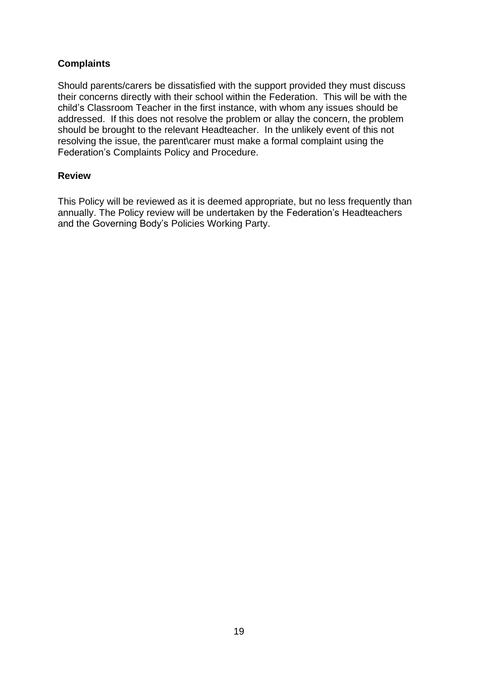## **Complaints**

Should parents/carers be dissatisfied with the support provided they must discuss their concerns directly with their school within the Federation. This will be with the child's Classroom Teacher in the first instance, with whom any issues should be addressed. If this does not resolve the problem or allay the concern, the problem should be brought to the relevant Headteacher. In the unlikely event of this not resolving the issue, the parent\carer must make a formal complaint using the Federation's Complaints Policy and Procedure.

#### **Review**

This Policy will be reviewed as it is deemed appropriate, but no less frequently than annually. The Policy review will be undertaken by the Federation's Headteachers and the Governing Body's Policies Working Party.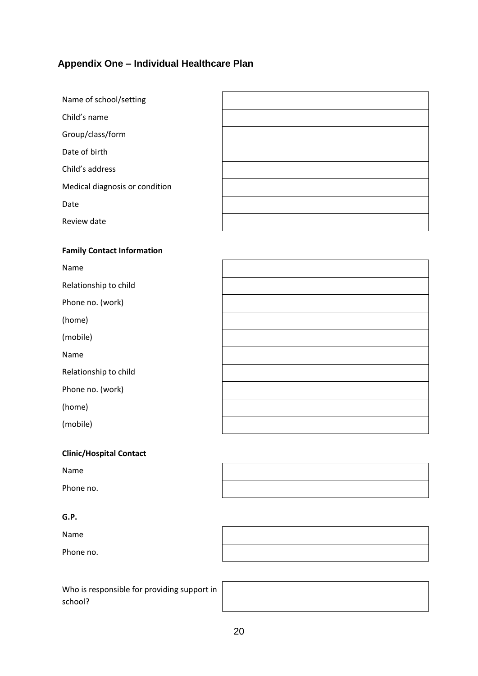# **Appendix One – Individual Healthcare Plan**

| Name of school/setting         |  |
|--------------------------------|--|
| Child's name                   |  |
| Group/class/form               |  |
| Date of birth                  |  |
| Child's address                |  |
| Medical diagnosis or condition |  |
| Date                           |  |
| Review date                    |  |
|                                |  |

#### **Family Contact Information**

| Name                  |  |
|-----------------------|--|
| Relationship to child |  |
| Phone no. (work)      |  |
| (home)                |  |
| (mobile)              |  |
| Name                  |  |
| Relationship to child |  |
| Phone no. (work)      |  |
| (home)                |  |
| (mobile)              |  |

| <b>Clinic/Hospital Contact</b> |  |
|--------------------------------|--|
|--------------------------------|--|

| Name      |  |
|-----------|--|
| Phone no. |  |

#### **G.P.**

Name Phone no.

Who is responsible for providing support in school?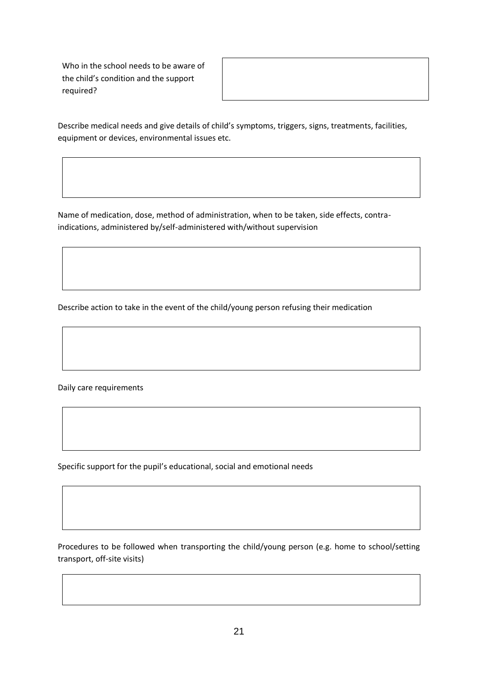Who in the school needs to be aware of the child's condition and the support required?

Describe medical needs and give details of child's symptoms, triggers, signs, treatments, facilities, equipment or devices, environmental issues etc.

Name of medication, dose, method of administration, when to be taken, side effects, contraindications, administered by/self-administered with/without supervision

Describe action to take in the event of the child/young person refusing their medication

Daily care requirements

Specific support for the pupil's educational, social and emotional needs

Procedures to be followed when transporting the child/young person (e.g. home to school/setting transport, off-site visits)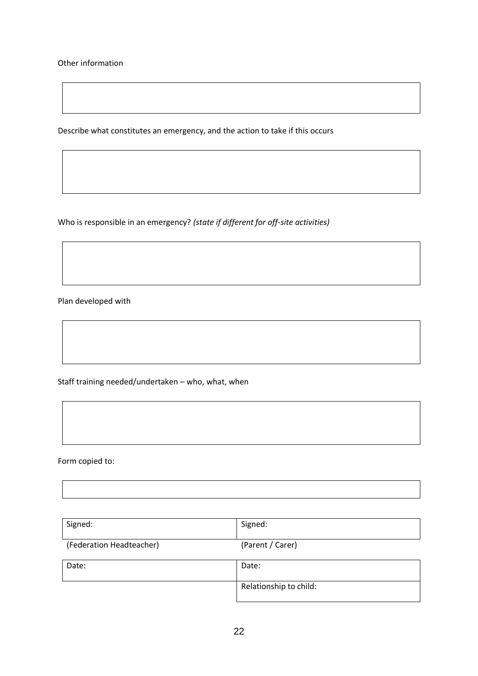Other information

Describe what constitutes an emergency, and the action to take if this occurs

Who is responsible in an emergency? *(state if different for off-site activities)*

Plan developed with

Staff training needed/undertaken – who, what, when

Form copied to:

| Signed:                  | Signed:          |
|--------------------------|------------------|
|                          |                  |
| (Federation Headteacher) | (Parent / Carer) |

| Date: | Date:                  |
|-------|------------------------|
|       | Relationship to child: |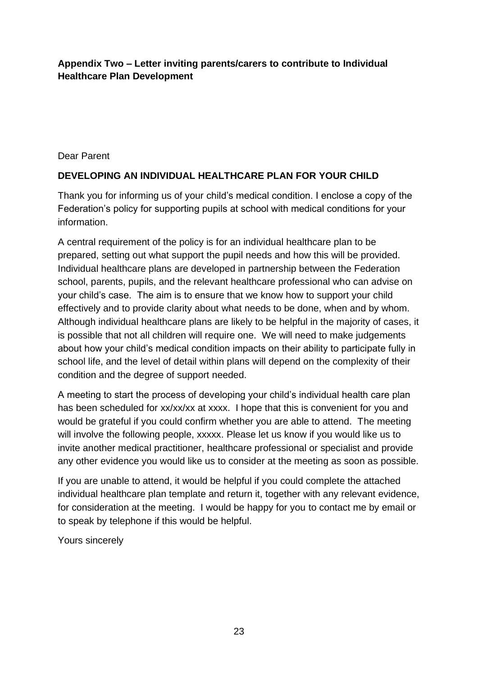## **Appendix Two – Letter inviting parents/carers to contribute to Individual Healthcare Plan Development**

Dear Parent

## **DEVELOPING AN INDIVIDUAL HEALTHCARE PLAN FOR YOUR CHILD**

Thank you for informing us of your child's medical condition. I enclose a copy of the Federation's policy for supporting pupils at school with medical conditions for your information.

A central requirement of the policy is for an individual healthcare plan to be prepared, setting out what support the pupil needs and how this will be provided. Individual healthcare plans are developed in partnership between the Federation school, parents, pupils, and the relevant healthcare professional who can advise on your child's case. The aim is to ensure that we know how to support your child effectively and to provide clarity about what needs to be done, when and by whom. Although individual healthcare plans are likely to be helpful in the majority of cases, it is possible that not all children will require one. We will need to make judgements about how your child's medical condition impacts on their ability to participate fully in school life, and the level of detail within plans will depend on the complexity of their condition and the degree of support needed.

A meeting to start the process of developing your child's individual health care plan has been scheduled for xx/xx/xx at xxxx. I hope that this is convenient for you and would be grateful if you could confirm whether you are able to attend. The meeting will involve the following people, xxxxx. Please let us know if you would like us to invite another medical practitioner, healthcare professional or specialist and provide any other evidence you would like us to consider at the meeting as soon as possible.

If you are unable to attend, it would be helpful if you could complete the attached individual healthcare plan template and return it, together with any relevant evidence, for consideration at the meeting. I would be happy for you to contact me by email or to speak by telephone if this would be helpful.

Yours sincerely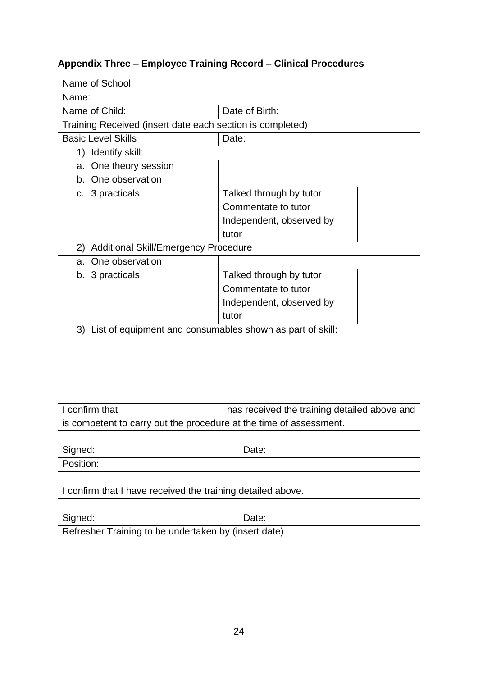# **Appendix Three – Employee Training Record – Clinical Procedures**

| Name of School:                                                    |                                              |  |  |
|--------------------------------------------------------------------|----------------------------------------------|--|--|
| Name:                                                              |                                              |  |  |
| Name of Child:<br>Date of Birth:                                   |                                              |  |  |
| Training Received (insert date each section is completed)          |                                              |  |  |
| <b>Basic Level Skills</b>                                          | Date:                                        |  |  |
| Identify skill:<br>1)                                              |                                              |  |  |
| a. One theory session                                              |                                              |  |  |
| b. One observation                                                 |                                              |  |  |
| c. 3 practicals:                                                   | Talked through by tutor                      |  |  |
|                                                                    | Commentate to tutor                          |  |  |
|                                                                    | Independent, observed by                     |  |  |
|                                                                    | tutor                                        |  |  |
| Additional Skill/Emergency Procedure<br>2)                         |                                              |  |  |
| One observation<br>a.                                              |                                              |  |  |
| b. 3 practicals:                                                   | Talked through by tutor                      |  |  |
|                                                                    | Commentate to tutor                          |  |  |
|                                                                    | Independent, observed by                     |  |  |
|                                                                    | tutor                                        |  |  |
| 3) List of equipment and consumables shown as part of skill:       |                                              |  |  |
|                                                                    |                                              |  |  |
|                                                                    |                                              |  |  |
|                                                                    |                                              |  |  |
|                                                                    |                                              |  |  |
|                                                                    |                                              |  |  |
| I confirm that                                                     | has received the training detailed above and |  |  |
| is competent to carry out the procedure at the time of assessment. |                                              |  |  |
|                                                                    |                                              |  |  |
| Signed:                                                            | Date:                                        |  |  |
| Position:                                                          |                                              |  |  |
|                                                                    |                                              |  |  |
| I confirm that I have received the training detailed above.        |                                              |  |  |
|                                                                    |                                              |  |  |
| Signed:                                                            | Date:                                        |  |  |
| Refresher Training to be undertaken by (insert date)               |                                              |  |  |
|                                                                    |                                              |  |  |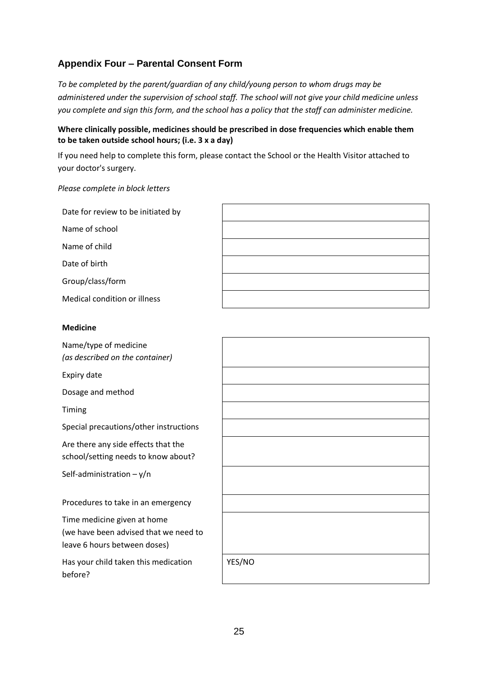## **Appendix Four – Parental Consent Form**

*To be completed by the parent/guardian of any child/young person to whom drugs may be administered under the supervision of school staff. The school will not give your child medicine unless you complete and sign this form, and the school has a policy that the staff can administer medicine.*

#### **Where clinically possible, medicines should be prescribed in dose frequencies which enable them to be taken outside school hours; (i.e. 3 x a day)**

If you need help to complete this form, please contact the School or the Health Visitor attached to your doctor's surgery.

#### *Please complete in block letters*

| Date for review to be initiated by |  |
|------------------------------------|--|
| Name of school                     |  |
| Name of child                      |  |
| Date of birth                      |  |
| Group/class/form                   |  |
| Medical condition or illness       |  |
|                                    |  |
|                                    |  |
| <b>Medicine</b>                    |  |
| Name/type of medicine              |  |
| (as described on the container)    |  |
| Expiry date                        |  |
| Dosage and method                  |  |

Special precautions/other instructions

Are there any side effects that the school/setting needs to know about?

Self-administration  $-y/n$ 

Procedures to take in an emergency

Time medicine given at home (we have been advised that we need to leave 6 hours between doses)

Has your child taken this medication before?

| YES/NO |  |  |
|--------|--|--|
|        |  |  |
|        |  |  |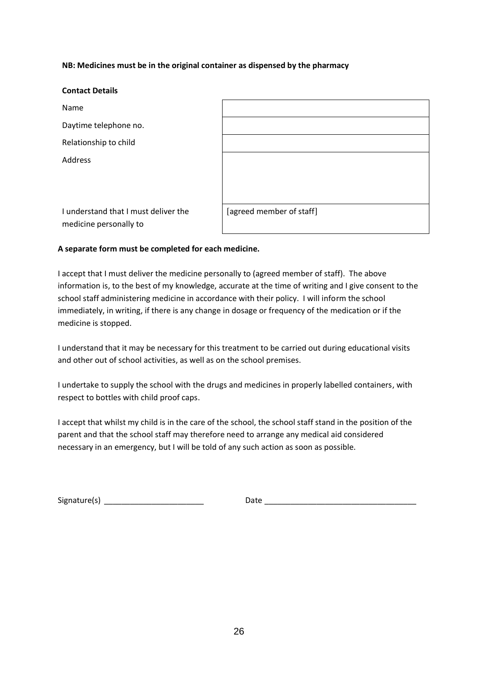#### **NB: Medicines must be in the original container as dispensed by the pharmacy**

| <b>Contact Details</b>                                         |                          |
|----------------------------------------------------------------|--------------------------|
| Name                                                           |                          |
| Daytime telephone no.                                          |                          |
| Relationship to child                                          |                          |
| Address                                                        |                          |
| I understand that I must deliver the<br>medicine personally to | [agreed member of staff] |

#### **A separate form must be completed for each medicine.**

I accept that I must deliver the medicine personally to (agreed member of staff). The above information is, to the best of my knowledge, accurate at the time of writing and I give consent to the school staff administering medicine in accordance with their policy. I will inform the school immediately, in writing, if there is any change in dosage or frequency of the medication or if the medicine is stopped.

I understand that it may be necessary for this treatment to be carried out during educational visits and other out of school activities, as well as on the school premises.

I undertake to supply the school with the drugs and medicines in properly labelled containers, with respect to bottles with child proof caps.

I accept that whilst my child is in the care of the school, the school staff stand in the position of the parent and that the school staff may therefore need to arrange any medical aid considered necessary in an emergency, but I will be told of any such action as soon as possible.

Signature(s) \_\_\_\_\_\_\_\_\_\_\_\_\_\_\_\_\_\_\_\_\_\_\_ Date \_\_\_\_\_\_\_\_\_\_\_\_\_\_\_\_\_\_\_\_\_\_\_\_\_\_\_\_\_\_\_\_\_\_\_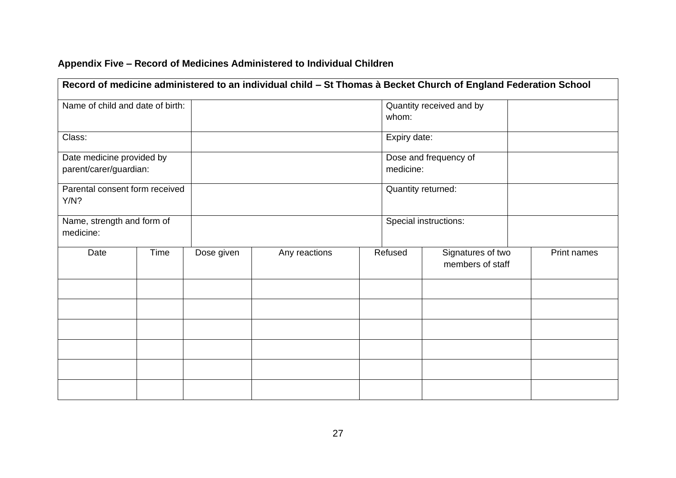| Record of medicine administered to an individual child - St Thomas à Becket Church of England Federation School |      |            |               |                                   |                                    |                                       |             |  |
|-----------------------------------------------------------------------------------------------------------------|------|------------|---------------|-----------------------------------|------------------------------------|---------------------------------------|-------------|--|
| Name of child and date of birth:                                                                                |      |            |               | Quantity received and by<br>whom: |                                    |                                       |             |  |
| Class:                                                                                                          |      |            |               | Expiry date:                      |                                    |                                       |             |  |
| Date medicine provided by<br>parent/carer/guardian:                                                             |      |            |               |                                   | Dose and frequency of<br>medicine: |                                       |             |  |
| Parental consent form received<br>Y/N?                                                                          |      |            |               |                                   | Quantity returned:                 |                                       |             |  |
| Name, strength and form of<br>medicine:                                                                         |      |            |               |                                   |                                    | Special instructions:                 |             |  |
| Date                                                                                                            | Time | Dose given | Any reactions |                                   | Refused                            | Signatures of two<br>members of staff | Print names |  |
|                                                                                                                 |      |            |               |                                   |                                    |                                       |             |  |
|                                                                                                                 |      |            |               |                                   |                                    |                                       |             |  |
|                                                                                                                 |      |            |               |                                   |                                    |                                       |             |  |
|                                                                                                                 |      |            |               |                                   |                                    |                                       |             |  |
|                                                                                                                 |      |            |               |                                   |                                    |                                       |             |  |
|                                                                                                                 |      |            |               |                                   |                                    |                                       |             |  |

# **Appendix Five – Record of Medicines Administered to Individual Children**